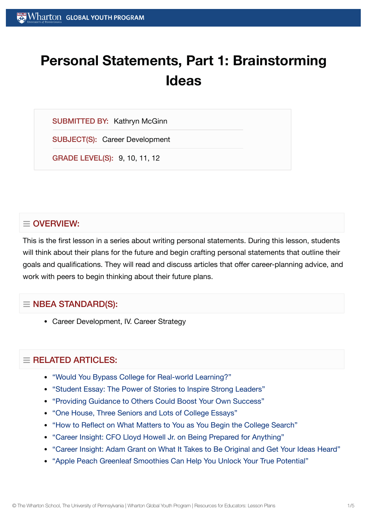# **Personal Statements, Part 1: Brainstorming Ideas**

SUBMITTED BY: Kathryn McGinn

SUBJECT(S): Career Development

GRADE LEVEL(S): 9, 10, 11, 12

# $\equiv$  OVERVIEW:

This is the first lesson in a series about writing personal statements. During this lesson, students will think about their plans for the future and begin crafting personal statements that outline their goals and qualifications. They will read and discuss articles that offer career-planning advice, and work with peers to begin thinking about their future plans.

# $\equiv$  NBEA STANDARD(S):

Career Development, IV. Career Strategy

# $\equiv$  RELATED ARTICLES:

- "Would You [Bypass College](https://globalyouth.wharton.upenn.edu/articles/bypass-college-for-real-world-learning/) for Real-world Learning?"
- "Student Essay: The Power of [Stories to](https://globalyouth.wharton.upenn.edu/articles/student-essay-power-stories-inspire-strong-leaders/) Inspire Strong Leaders"
- "Providing Guidance to [Others Could](https://globalyouth.wharton.upenn.edu/articles/share-guidance-boost-success/) Boost Your Own Success"
- "One House, Three [Seniors and](https://globalyouth.wharton.upenn.edu/articles/one-house-three-seniors-lots-college-essays/) Lots of College Essays"
- "How to Reflect on What [Matters to](https://globalyouth.wharton.upenn.edu/articles/how-to-reflect-on-what-matters-to-you-as-begin-college-search/) You as You Begin the College Search"
- "Career Insight: CFO Lloyd Howell Jr. on Being Prepared for [Anything"](https://globalyouth.wharton.upenn.edu/articles/career-insight-cfo-lloyd-howell-jr-prepared-anything/)
- "Career Insight: Adam Grant on What It Takes to Be Original and Get Your [Ideas Heard"](https://globalyouth.wharton.upenn.edu/articles/career-insight-adam-grant-takes-original-get-ideas-heard/)
- "Apple Peach Greenleaf [Smoothies Can](https://globalyouth.wharton.upenn.edu/articles/apple-peach-greenleaf-smoothies-can-help-unlock-true-potential/) Help You Unlock Your True Potential"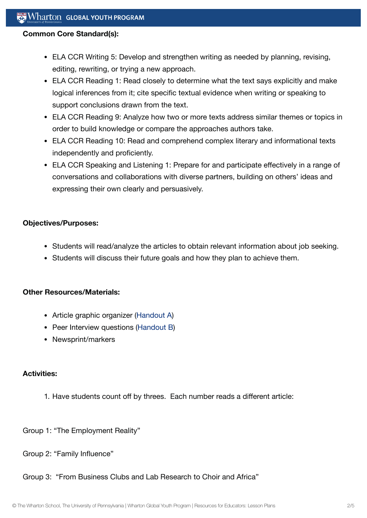#### **Common Core Standard(s):**

- ELA CCR Writing 5: Develop and strengthen writing as needed by planning, revising, editing, rewriting, or trying a new approach.
- ELA CCR Reading 1: Read closely to determine what the text says explicitly and make logical inferences from it; cite specific textual evidence when writing or speaking to support conclusions drawn from the text.
- ELA CCR Reading 9: Analyze how two or more texts address similar themes or topics in order to build knowledge or compare the approaches authors take.
- ELA CCR Reading 10: Read and comprehend complex literary and informational texts independently and proficiently.
- ELA CCR Speaking and Listening 1: Prepare for and participate effectively in a range of conversations and collaborations with diverse partners, building on others' ideas and expressing their own clearly and persuasively.

#### **Objectives/Purposes:**

- Students will read/analyze the articles to obtain relevant information about job seeking.
- Students will discuss their future goals and how they plan to achieve them.

## **Other Resources/Materials:**

- Article graphic organizer ([Handout](https://globalyouth.wharton.upenn.edu/wp-content/uploads/2012/01/Career-Development-15_Caree.Wrksht.pdf) A)
- Peer Interview questions [\(Handout](https://globalyouth.wharton.upenn.edu/wp-content/uploads/2012/01/Career-Development-15_Caree.wrksht2.pdf) B)
- Newsprint/markers

## **Activities:**

- 1. Have students count off by threes. Each number reads a different article:
- Group 1: "The Employment Reality"
- Group 2: "Family Influence"
- Group 3: "From Business Clubs and Lab Research to Choir and Africa"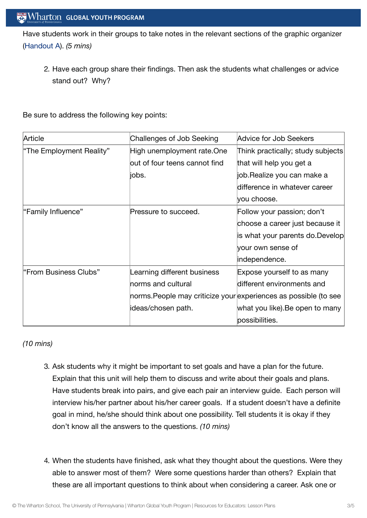Have students work in their groups to take notes in the relevant sections of the graphic organizer [\(Handout](https://globalyouth.wharton.upenn.edu/wp-content/uploads/2012/01/Career-Development-15_Caree.Wrksht.pdf) A). *(5 mins)*

2. Have each group share their findings. Then ask the students what challenges or advice stand out? Why?

Be sure to address the following key points:

| Article                  | Challenges of Job Seeking                                       | Advice for Job Seekers            |
|--------------------------|-----------------------------------------------------------------|-----------------------------------|
| "The Employment Reality" | High unemployment rate.One                                      | Think practically; study subjects |
|                          | out of four teens cannot find                                   | that will help you get a          |
|                          | ∣iobs.                                                          | job.Realize you can make a        |
|                          |                                                                 | difference in whatever career     |
|                          |                                                                 | you choose.                       |
| "Family Influence"       | Pressure to succeed.                                            | Follow your passion; don't        |
|                          |                                                                 | choose a career just because it   |
|                          |                                                                 | is what your parents do.Develop   |
|                          |                                                                 | your own sense of                 |
|                          |                                                                 | independence.                     |
| l"From Business Clubs"   | Learning different business                                     | Expose yourself to as many        |
|                          | norms and cultural                                              | different environments and        |
|                          | norms.People may criticize your experiences as possible (to see |                                   |
|                          | ideas/chosen path.                                              | what you like).Be open to many    |
|                          |                                                                 | possibilities.                    |

*(10 mins)*

- 3. Ask students why it might be important to set goals and have a plan for the future. Explain that this unit will help them to discuss and write about their goals and plans. Have students break into pairs, and give each pair an interview guide. Each person will interview his/her partner about his/her career goals. If a student doesn't have a definite goal in mind, he/she should think about one possibility. Tell students it is okay if they don't know all the answers to the questions. *(10 mins)*
- 4. When the students have finished, ask what they thought about the questions. Were they able to answer most of them? Were some questions harder than others? Explain that these are all important questions to think about when considering a career. Ask one or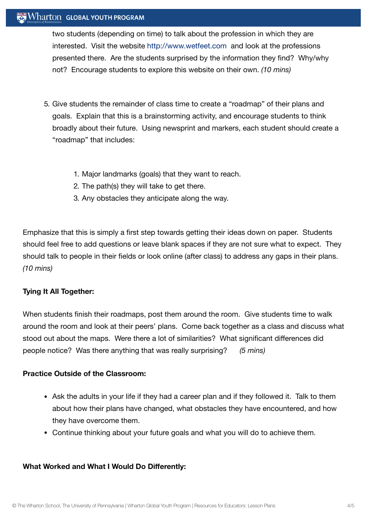## $\mathbb{R}^n$  Wharton Global Youth Program

two students (depending on time) to talk about the profession in which they are interested. Visit the website [http://www.wetfeet.com](http://www.wetfeet.com%20/) and look at the professions presented there. Are the students surprised by the information they find? Why/why not? Encourage students to explore this website on their own. *(10 mins)*

- 5. Give students the remainder of class time to create a "roadmap" of their plans and goals. Explain that this is a brainstorming activity, and encourage students to think broadly about their future. Using newsprint and markers, each student should create a "roadmap" that includes:
	- 1. Major landmarks (goals) that they want to reach.
	- 2. The path(s) they will take to get there.
	- 3. Any obstacles they anticipate along the way.

Emphasize that this is simply a first step towards getting their ideas down on paper. Students should feel free to add questions or leave blank spaces if they are not sure what to expect. They should talk to people in their fields or look online (after class) to address any gaps in their plans. *(10 mins)*

## **Tying It All Together:**

When students finish their roadmaps, post them around the room. Give students time to walk around the room and look at their peers' plans. Come back together as a class and discuss what stood out about the maps. Were there a lot of similarities? What significant differences did people notice? Was there anything that was really surprising? *(5 mins)*

#### **Practice Outside of the Classroom:**

- Ask the adults in your life if they had a career plan and if they followed it. Talk to them about how their plans have changed, what obstacles they have encountered, and how they have overcome them.
- Continue thinking about your future goals and what you will do to achieve them.

## **What Worked and What I Would Do Differently:**